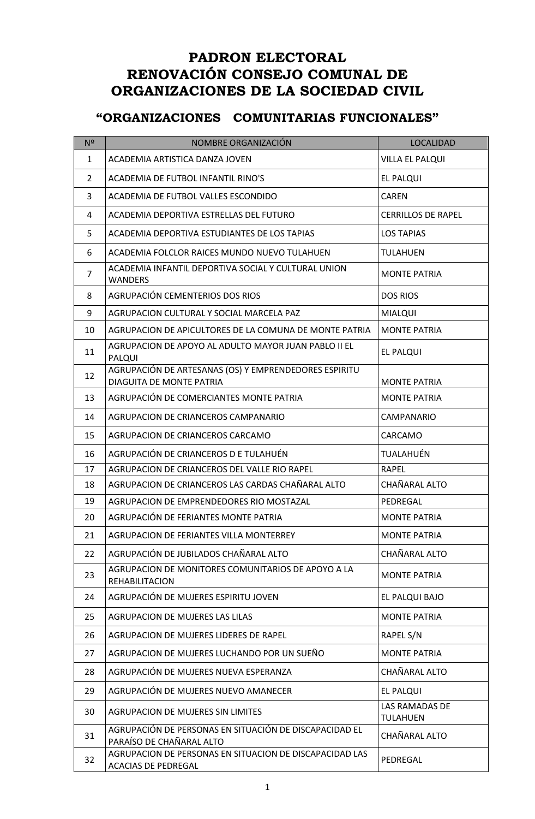## **PADRON ELECTORAL RENOVACIÓN CONSEJO COMUNAL DE ORGANIZACIONES DE LA SOCIEDAD CIVIL**

## **"ORGANIZACIONES COMUNITARIAS FUNCIONALES"**

| N <sup>2</sup> | NOMBRE ORGANIZACIÓN                                                                      | <b>LOCALIDAD</b>                  |
|----------------|------------------------------------------------------------------------------------------|-----------------------------------|
| 1              | ACADEMIA ARTISTICA DANZA JOVEN                                                           | <b>VILLA EL PALQUI</b>            |
| $\overline{2}$ | ACADEMIA DE FUTBOL INFANTIL RINO'S                                                       | EL PALQUI                         |
| 3              | ACADEMIA DE FUTBOL VALLES ESCONDIDO                                                      | <b>CAREN</b>                      |
| 4              | ACADEMIA DEPORTIVA ESTRELLAS DEL FUTURO                                                  | <b>CERRILLOS DE RAPEL</b>         |
| 5              | ACADEMIA DEPORTIVA ESTUDIANTES DE LOS TAPIAS                                             | <b>LOS TAPIAS</b>                 |
| 6              | ACADEMIA FOLCLOR RAICES MUNDO NUEVO TULAHUEN                                             | <b>TULAHUEN</b>                   |
| 7              | ACADEMIA INFANTIL DEPORTIVA SOCIAL Y CULTURAL UNION<br><b>WANDERS</b>                    | <b>MONTE PATRIA</b>               |
| 8              | AGRUPACIÓN CEMENTERIOS DOS RIOS                                                          | <b>DOS RIOS</b>                   |
| 9              | AGRUPACION CULTURAL Y SOCIAL MARCELA PAZ                                                 | <b>MIALQUI</b>                    |
| 10             | AGRUPACION DE APICULTORES DE LA COMUNA DE MONTE PATRIA                                   | <b>MONTE PATRIA</b>               |
| 11             | AGRUPACION DE APOYO AL ADULTO MAYOR JUAN PABLO II EL<br>PALQUI                           | EL PALQUI                         |
| 12             | AGRUPACIÓN DE ARTESANAS (OS) Y EMPRENDEDORES ESPIRITU<br><b>DIAGUITA DE MONTE PATRIA</b> | <b>MONTE PATRIA</b>               |
| 13             | AGRUPACIÓN DE COMERCIANTES MONTE PATRIA                                                  | <b>MONTE PATRIA</b>               |
| 14             | AGRUPACION DE CRIANCEROS CAMPANARIO                                                      | <b>CAMPANARIO</b>                 |
| 15             | AGRUPACION DE CRIANCEROS CARCAMO                                                         | CARCAMO                           |
| 16             | AGRUPACIÓN DE CRIANCEROS D E TULAHUÉN                                                    | TUALAHUÉN                         |
| 17             | AGRUPACION DE CRIANCEROS DEL VALLE RIO RAPEL                                             | <b>RAPEL</b>                      |
| 18             | AGRUPACION DE CRIANCEROS LAS CARDAS CHAÑARAL ALTO                                        | CHAÑARAL ALTO                     |
| 19             | AGRUPACION DE EMPRENDEDORES RIO MOSTAZAL                                                 | PEDREGAL                          |
| 20             | AGRUPACIÓN DE FERIANTES MONTE PATRIA                                                     | <b>MONTE PATRIA</b>               |
| 21             | AGRUPACION DE FERIANTES VILLA MONTERREY                                                  | <b>MONTE PATRIA</b>               |
| 22             | AGRUPACIÓN DE JUBILADOS CHAÑARAL ALTO                                                    | CHAÑARAL ALTO                     |
| 23             | AGRUPACION DE MONITORES COMUNITARIOS DE APOYO A LA<br><b>REHABILITACION</b>              | <b>MONTE PATRIA</b>               |
| 24             | AGRUPACIÓN DE MUJERES ESPIRITU JOVEN                                                     | EL PALQUI BAJO                    |
| 25             | <b>AGRUPACION DE MUJERES LAS LILAS</b>                                                   | <b>MONTE PATRIA</b>               |
| 26             | AGRUPACION DE MUJERES LIDERES DE RAPEL                                                   | RAPEL S/N                         |
| 27             | AGRUPACION DE MUJERES LUCHANDO POR UN SUEÑO                                              | <b>MONTE PATRIA</b>               |
| 28             | AGRUPACIÓN DE MUJERES NUEVA ESPERANZA                                                    | CHAÑARAL ALTO                     |
| 29             | AGRUPACIÓN DE MUJERES NUEVO AMANECER                                                     | EL PALQUI                         |
| 30             | <b>AGRUPACION DE MUJERES SIN LIMITES</b>                                                 | LAS RAMADAS DE<br><b>TULAHUEN</b> |
| 31             | AGRUPACIÓN DE PERSONAS EN SITUACIÓN DE DISCAPACIDAD EL<br>PARAÍSO DE CHAÑARAL ALTO       | CHAÑARAL ALTO                     |
| 32             | AGRUPACION DE PERSONAS EN SITUACION DE DISCAPACIDAD LAS<br><b>ACACIAS DE PEDREGAL</b>    | PEDREGAL                          |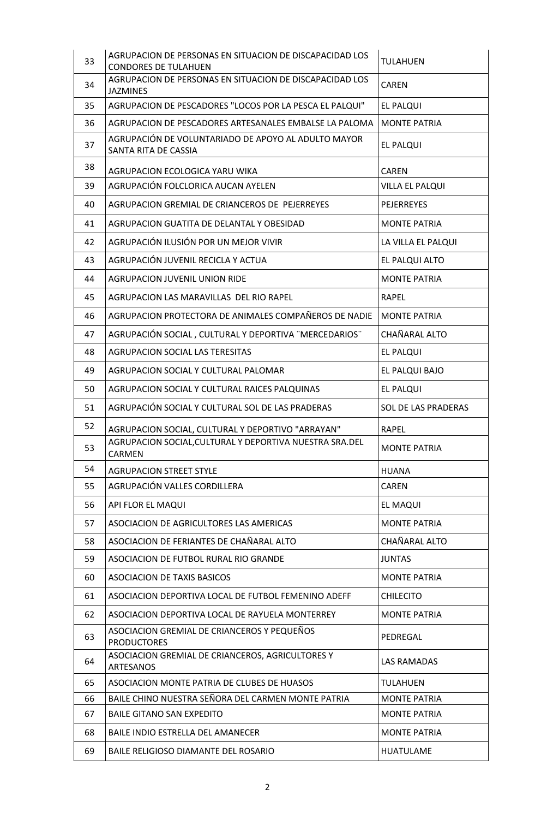| 33 | AGRUPACION DE PERSONAS EN SITUACION DE DISCAPACIDAD LOS<br><b>CONDORES DE TULAHUEN</b> | <b>TULAHUEN</b>     |
|----|----------------------------------------------------------------------------------------|---------------------|
| 34 | AGRUPACION DE PERSONAS EN SITUACION DE DISCAPACIDAD LOS<br><b>JAZMINES</b>             | <b>CAREN</b>        |
| 35 | AGRUPACION DE PESCADORES "LOCOS POR LA PESCA EL PALQUI"                                | EL PALQUI           |
| 36 | AGRUPACION DE PESCADORES ARTESANALES EMBALSE LA PALOMA                                 | <b>MONTE PATRIA</b> |
| 37 | AGRUPACIÓN DE VOLUNTARIADO DE APOYO AL ADULTO MAYOR<br>SANTA RITA DE CASSIA            | EL PALQUI           |
| 38 | AGRUPACION ECOLOGICA YARU WIKA                                                         | <b>CAREN</b>        |
| 39 | AGRUPACIÓN FOLCLORICA AUCAN AYELEN                                                     | VILLA EL PALQUI     |
| 40 | AGRUPACION GREMIAL DE CRIANCEROS DE PEJERREYES                                         | PEJERREYES          |
| 41 | AGRUPACION GUATITA DE DELANTAL Y OBESIDAD                                              | <b>MONTE PATRIA</b> |
| 42 | AGRUPACIÓN ILUSIÓN POR UN MEJOR VIVIR                                                  | LA VILLA EL PALQUI  |
| 43 | AGRUPACIÓN JUVENIL RECICLA Y ACTUA                                                     | EL PALQUI ALTO      |
| 44 | <b>AGRUPACION JUVENIL UNION RIDE</b>                                                   | <b>MONTE PATRIA</b> |
| 45 | AGRUPACION LAS MARAVILLAS DEL RIO RAPEL                                                | <b>RAPEL</b>        |
| 46 | AGRUPACION PROTECTORA DE ANIMALES COMPAÑEROS DE NADIE                                  | <b>MONTE PATRIA</b> |
| 47 | AGRUPACIÓN SOCIAL, CULTURAL Y DEPORTIVA "MERCEDARIOS"                                  | CHAÑARAL ALTO       |
| 48 | <b>AGRUPACION SOCIAL LAS TERESITAS</b>                                                 | EL PALQUI           |
| 49 | AGRUPACION SOCIAL Y CULTURAL PALOMAR                                                   | EL PALQUI BAJO      |
| 50 | AGRUPACION SOCIAL Y CULTURAL RAICES PALQUINAS                                          | EL PALQUI           |
| 51 | AGRUPACIÓN SOCIAL Y CULTURAL SOL DE LAS PRADERAS                                       | SOL DE LAS PRADERAS |
| 52 | AGRUPACION SOCIAL, CULTURAL Y DEPORTIVO "ARRAYAN"                                      | <b>RAPEL</b>        |
| 53 | AGRUPACION SOCIAL, CULTURAL Y DEPORTIVA NUESTRA SRA. DEL<br><b>CARMEN</b>              | <b>MONTE PATRIA</b> |
| 54 | <b>AGRUPACION STREET STYLE</b>                                                         | <b>HUANA</b>        |
| 55 | AGRUPACIÓN VALLES CORDILLERA                                                           | <b>CAREN</b>        |
| 56 | API FLOR EL MAQUI                                                                      | EL MAQUI            |
| 57 | ASOCIACION DE AGRICULTORES LAS AMERICAS                                                | <b>MONTE PATRIA</b> |
| 58 | ASOCIACION DE FERIANTES DE CHAÑARAL ALTO                                               | CHAÑARAL ALTO       |
| 59 | ASOCIACION DE FUTBOL RURAL RIO GRANDE                                                  | <b>JUNTAS</b>       |
| 60 | <b>ASOCIACION DE TAXIS BASICOS</b>                                                     | <b>MONTE PATRIA</b> |
| 61 | ASOCIACION DEPORTIVA LOCAL DE FUTBOL FEMENINO ADEFF                                    | <b>CHILECITO</b>    |
| 62 | ASOCIACION DEPORTIVA LOCAL DE RAYUELA MONTERREY                                        | <b>MONTE PATRIA</b> |
| 63 | ASOCIACION GREMIAL DE CRIANCEROS Y PEQUEÑOS<br><b>PRODUCTORES</b>                      | PEDREGAL            |
| 64 | ASOCIACION GREMIAL DE CRIANCEROS, AGRICULTORES Y<br>ARTESANOS                          | LAS RAMADAS         |
| 65 | ASOCIACION MONTE PATRIA DE CLUBES DE HUASOS                                            | <b>TULAHUEN</b>     |
| 66 | BAILE CHINO NUESTRA SEÑORA DEL CARMEN MONTE PATRIA                                     | <b>MONTE PATRIA</b> |
| 67 | <b>BAILE GITANO SAN EXPEDITO</b>                                                       | <b>MONTE PATRIA</b> |
| 68 | BAILE INDIO ESTRELLA DEL AMANECER                                                      | <b>MONTE PATRIA</b> |
| 69 | BAILE RELIGIOSO DIAMANTE DEL ROSARIO                                                   | <b>HUATULAME</b>    |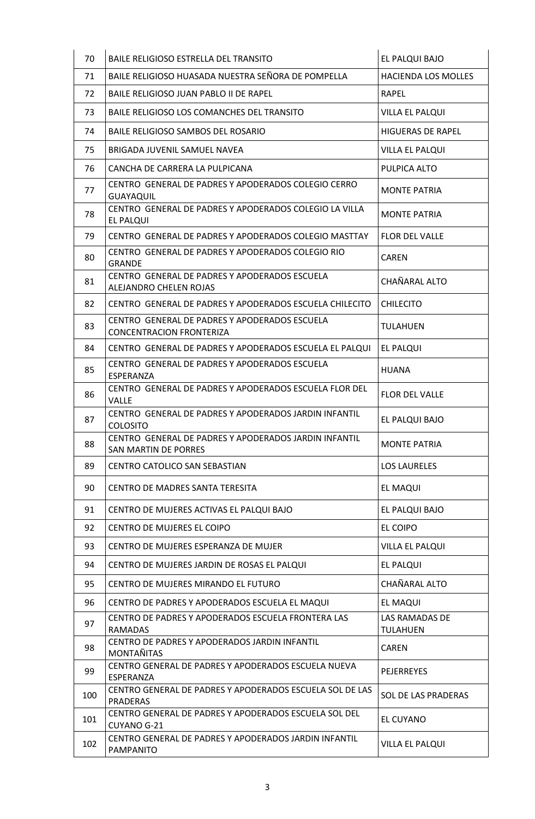| 70  | BAILE RELIGIOSO ESTRELLA DEL TRANSITO                                                | EL PALQUI BAJO                    |
|-----|--------------------------------------------------------------------------------------|-----------------------------------|
| 71  | BAILE RELIGIOSO HUASADA NUESTRA SEÑORA DE POMPELLA                                   | <b>HACIENDA LOS MOLLES</b>        |
| 72  | BAILE RELIGIOSO JUAN PABLO II DE RAPEL                                               | <b>RAPEL</b>                      |
| 73  | BAILE RELIGIOSO LOS COMANCHES DEL TRANSITO                                           | VILLA EL PALQUI                   |
| 74  | BAILE RELIGIOSO SAMBOS DEL ROSARIO                                                   | <b>HIGUERAS DE RAPEL</b>          |
| 75  | BRIGADA JUVENIL SAMUEL NAVEA                                                         | VILLA EL PALQUI                   |
| 76  | CANCHA DE CARRERA LA PULPICANA                                                       | PULPICA ALTO                      |
| 77  | CENTRO GENERAL DE PADRES Y APODERADOS COLEGIO CERRO<br><b>GUAYAQUIL</b>              | <b>MONTE PATRIA</b>               |
| 78  | CENTRO GENERAL DE PADRES Y APODERADOS COLEGIO LA VILLA<br>EL PALQUI                  | <b>MONTE PATRIA</b>               |
| 79  | CENTRO GENERAL DE PADRES Y APODERADOS COLEGIO MASTTAY                                | <b>FLOR DEL VALLE</b>             |
| 80  | CENTRO GENERAL DE PADRES Y APODERADOS COLEGIO RIO<br><b>GRANDE</b>                   | <b>CAREN</b>                      |
| 81  | CENTRO GENERAL DE PADRES Y APODERADOS ESCUELA<br>ALEJANDRO CHELEN ROJAS              | CHAÑARAL ALTO                     |
| 82  | CENTRO GENERAL DE PADRES Y APODERADOS ESCUELA CHILECITO                              | <b>CHILECITO</b>                  |
| 83  | CENTRO GENERAL DE PADRES Y APODERADOS ESCUELA<br><b>CONCENTRACION FRONTERIZA</b>     | <b>TULAHUEN</b>                   |
| 84  | CENTRO GENERAL DE PADRES Y APODERADOS ESCUELA EL PALQUI                              | EL PALQUI                         |
| 85  | CENTRO GENERAL DE PADRES Y APODERADOS ESCUELA<br>ESPERANZA                           | <b>HUANA</b>                      |
| 86  | CENTRO GENERAL DE PADRES Y APODERADOS ESCUELA FLOR DEL<br>VALLE                      | <b>FLOR DEL VALLE</b>             |
| 87  | CENTRO GENERAL DE PADRES Y APODERADOS JARDIN INFANTIL<br><b>COLOSITO</b>             | EL PALQUI BAJO                    |
| 88  | CENTRO GENERAL DE PADRES Y APODERADOS JARDIN INFANTIL<br><b>SAN MARTIN DE PORRES</b> | <b>MONTE PATRIA</b>               |
| 89  | CENTRO CATOLICO SAN SEBASTIAN                                                        | <b>LOS LAURELES</b>               |
| 90  | CENTRO DE MADRES SANTA TERESITA                                                      | EL MAQUI                          |
| 91  | CENTRO DE MUJERES ACTIVAS EL PALQUI BAJO                                             | EL PALQUI BAJO                    |
| 92  | CENTRO DE MUJERES EL COIPO                                                           | EL COIPO                          |
| 93  | CENTRO DE MUJERES ESPERANZA DE MUJER                                                 | VILLA EL PALQUI                   |
| 94  | CENTRO DE MUJERES JARDIN DE ROSAS EL PALQUI                                          | EL PALQUI                         |
| 95  | CENTRO DE MUJERES MIRANDO EL FUTURO                                                  | CHAÑARAL ALTO                     |
| 96  | CENTRO DE PADRES Y APODERADOS ESCUELA EL MAQUI                                       | EL MAQUI                          |
| 97  | CENTRO DE PADRES Y APODERADOS ESCUELA FRONTERA LAS<br><b>RAMADAS</b>                 | LAS RAMADAS DE<br><b>TULAHUEN</b> |
| 98  | CENTRO DE PADRES Y APODERADOS JARDIN INFANTIL<br>MONTAÑITAS                          | <b>CAREN</b>                      |
| 99  | CENTRO GENERAL DE PADRES Y APODERADOS ESCUELA NUEVA<br>ESPERANZA                     | <b>PEJERREYES</b>                 |
| 100 | CENTRO GENERAL DE PADRES Y APODERADOS ESCUELA SOL DE LAS<br><b>PRADERAS</b>          | <b>SOL DE LAS PRADERAS</b>        |
| 101 | CENTRO GENERAL DE PADRES Y APODERADOS ESCUELA SOL DEL<br>CUYANO G-21                 | EL CUYANO                         |
| 102 | CENTRO GENERAL DE PADRES Y APODERADOS JARDIN INFANTIL<br><b>PAMPANITO</b>            | VILLA EL PALQUI                   |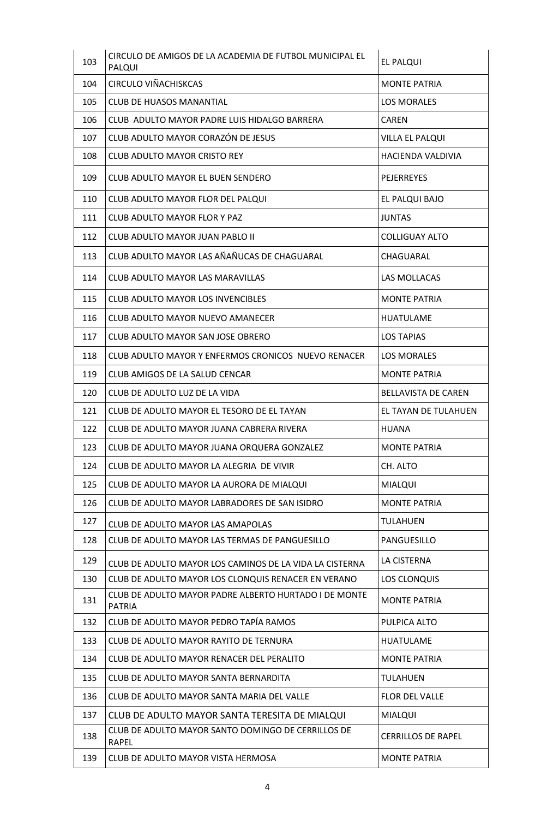| 103 | CIRCULO DE AMIGOS DE LA ACADEMIA DE FUTBOL MUNICIPAL EL<br>PALQUI      | EL PALQUI                  |
|-----|------------------------------------------------------------------------|----------------------------|
| 104 | <b>CIRCULO VIÑACHISKCAS</b>                                            | <b>MONTE PATRIA</b>        |
| 105 | <b>CLUB DE HUASOS MANANTIAL</b>                                        | <b>LOS MORALES</b>         |
| 106 | CLUB ADULTO MAYOR PADRE LUIS HIDALGO BARRERA                           | <b>CAREN</b>               |
| 107 | CLUB ADULTO MAYOR CORAZÓN DE JESUS                                     | VILLA EL PALQUI            |
| 108 | <b>CLUB ADULTO MAYOR CRISTO REY</b>                                    | HACIENDA VALDIVIA          |
| 109 | CLUB ADULTO MAYOR EL BUEN SENDERO                                      | <b>PEJERREYES</b>          |
| 110 | CLUB ADULTO MAYOR FLOR DEL PALQUI                                      | EL PALQUI BAJO             |
| 111 | <b>CLUB ADULTO MAYOR FLOR Y PAZ</b>                                    | <b>JUNTAS</b>              |
| 112 | CLUB ADULTO MAYOR JUAN PABLO II                                        | <b>COLLIGUAY ALTO</b>      |
| 113 | CLUB ADULTO MAYOR LAS AÑAÑUCAS DE CHAGUARAL                            | CHAGUARAL                  |
| 114 | CLUB ADULTO MAYOR LAS MARAVILLAS                                       | LAS MOLLACAS               |
| 115 | <b>CLUB ADULTO MAYOR LOS INVENCIBLES</b>                               | <b>MONTE PATRIA</b>        |
| 116 | CLUB ADULTO MAYOR NUEVO AMANECER                                       | <b>HUATULAME</b>           |
| 117 | CLUB ADULTO MAYOR SAN JOSE OBRERO                                      | <b>LOS TAPIAS</b>          |
| 118 | CLUB ADULTO MAYOR Y ENFERMOS CRONICOS NUEVO RENACER                    | <b>LOS MORALES</b>         |
| 119 | CLUB AMIGOS DE LA SALUD CENCAR                                         | <b>MONTE PATRIA</b>        |
| 120 | CLUB DE ADULTO LUZ DE LA VIDA                                          | <b>BELLAVISTA DE CAREN</b> |
| 121 | CLUB DE ADULTO MAYOR EL TESORO DE EL TAYAN                             | EL TAYAN DE TULAHUEN       |
| 122 | CLUB DE ADULTO MAYOR JUANA CABRERA RIVERA                              | <b>HUANA</b>               |
| 123 | CLUB DE ADULTO MAYOR JUANA ORQUERA GONZALEZ                            | <b>MONTE PATRIA</b>        |
| 124 | CLUB DE ADULTO MAYOR LA ALEGRIA DE VIVIR                               | CH. ALTO                   |
| 125 | CLUB DE ADULTO MAYOR LA AURORA DE MIALQUI                              | <b>MIALQUI</b>             |
| 126 | CLUB DE ADULTO MAYOR LABRADORES DE SAN ISIDRO                          | <b>MONTE PATRIA</b>        |
| 127 | CLUB DE ADULTO MAYOR LAS AMAPOLAS                                      | <b>TULAHUEN</b>            |
| 128 | CLUB DE ADULTO MAYOR LAS TERMAS DE PANGUESILLO                         | PANGUESILLO                |
| 129 | CLUB DE ADULTO MAYOR LOS CAMINOS DE LA VIDA LA CISTERNA                | LA CISTERNA                |
| 130 | CLUB DE ADULTO MAYOR LOS CLONQUIS RENACER EN VERANO                    | LOS CLONQUIS               |
| 131 | CLUB DE ADULTO MAYOR PADRE ALBERTO HURTADO I DE MONTE<br><b>PATRIA</b> | <b>MONTE PATRIA</b>        |
| 132 | CLUB DE ADULTO MAYOR PEDRO TAPÍA RAMOS                                 | PULPICA ALTO               |
| 133 | CLUB DE ADULTO MAYOR RAYITO DE TERNURA                                 | <b>HUATULAME</b>           |
| 134 | CLUB DE ADULTO MAYOR RENACER DEL PERALITO                              | <b>MONTE PATRIA</b>        |
| 135 | CLUB DE ADULTO MAYOR SANTA BERNARDITA                                  | <b>TULAHUEN</b>            |
| 136 | CLUB DE ADULTO MAYOR SANTA MARIA DEL VALLE                             | <b>FLOR DEL VALLE</b>      |
| 137 | CLUB DE ADULTO MAYOR SANTA TERESITA DE MIALQUI                         | <b>MIALQUI</b>             |
| 138 | CLUB DE ADULTO MAYOR SANTO DOMINGO DE CERRILLOS DE<br><b>RAPEL</b>     | <b>CERRILLOS DE RAPEL</b>  |
| 139 | CLUB DE ADULTO MAYOR VISTA HERMOSA                                     | <b>MONTE PATRIA</b>        |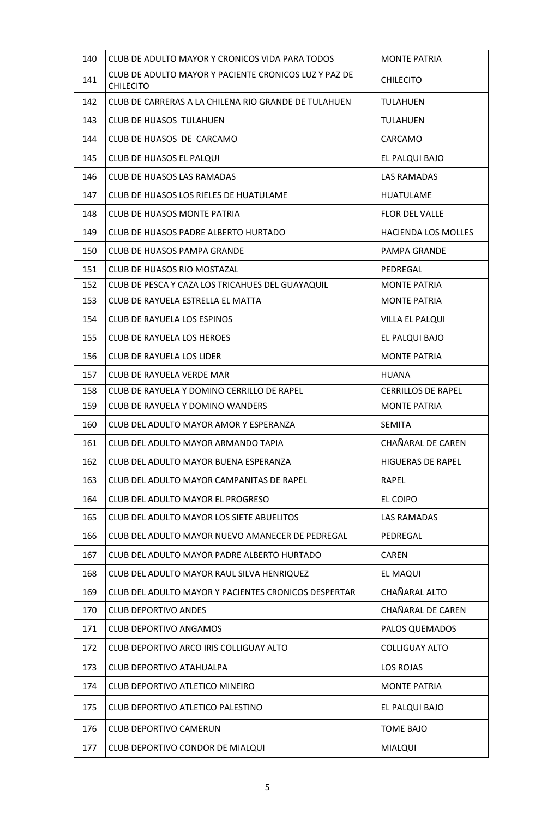| 140 | CLUB DE ADULTO MAYOR Y CRONICOS VIDA PARA TODOS                           | <b>MONTE PATRIA</b>       |
|-----|---------------------------------------------------------------------------|---------------------------|
| 141 | CLUB DE ADULTO MAYOR Y PACIENTE CRONICOS LUZ Y PAZ DE<br><b>CHILECITO</b> | <b>CHILECITO</b>          |
| 142 | CLUB DE CARRERAS A LA CHILENA RIO GRANDE DE TULAHUEN                      | <b>TULAHUEN</b>           |
| 143 | CLUB DE HUASOS TULAHUEN                                                   | <b>TULAHUEN</b>           |
| 144 | CLUB DE HUASOS DE CARCAMO                                                 | CARCAMO                   |
| 145 | CLUB DE HUASOS EL PALQUI                                                  | EL PALQUI BAJO            |
| 146 | <b>CLUB DE HUASOS LAS RAMADAS</b>                                         | LAS RAMADAS               |
| 147 | CLUB DE HUASOS LOS RIELES DE HUATULAME                                    | <b>HUATULAME</b>          |
| 148 | CLUB DE HUASOS MONTE PATRIA                                               | <b>FLOR DEL VALLE</b>     |
| 149 | CLUB DE HUASOS PADRE ALBERTO HURTADO                                      | HACIENDA LOS MOLLES       |
| 150 | <b>CLUB DE HUASOS PAMPA GRANDE</b>                                        | <b>PAMPA GRANDE</b>       |
| 151 | CLUB DE HUASOS RIO MOSTAZAL                                               | PEDREGAL                  |
| 152 | CLUB DE PESCA Y CAZA LOS TRICAHUES DEL GUAYAQUIL                          | <b>MONTE PATRIA</b>       |
| 153 | CLUB DE RAYUELA ESTRELLA EL MATTA                                         | <b>MONTE PATRIA</b>       |
| 154 | CLUB DE RAYUELA LOS ESPINOS                                               | VILLA EL PALQUI           |
| 155 | <b>CLUB DE RAYUELA LOS HEROES</b>                                         | EL PALQUI BAJO            |
| 156 | <b>CLUB DE RAYUELA LOS LIDER</b>                                          | <b>MONTE PATRIA</b>       |
| 157 | CLUB DE RAYUELA VERDE MAR                                                 | <b>HUANA</b>              |
| 158 | CLUB DE RAYUELA Y DOMINO CERRILLO DE RAPEL                                | <b>CERRILLOS DE RAPEL</b> |
| 159 | CLUB DE RAYUELA Y DOMINO WANDERS                                          | <b>MONTE PATRIA</b>       |
| 160 | CLUB DEL ADULTO MAYOR AMOR Y ESPERANZA                                    | <b>SEMITA</b>             |
| 161 | CLUB DEL ADULTO MAYOR ARMANDO TAPIA                                       | CHAÑARAL DE CAREN         |
| 162 | CLUB DEL ADULTO MAYOR BUENA ESPERANZA                                     | <b>HIGUERAS DE RAPEL</b>  |
| 163 | CLUB DEL ADULTO MAYOR CAMPANITAS DE RAPEL                                 | RAPEL                     |
| 164 | CLUB DEL ADULTO MAYOR EL PROGRESO                                         | EL COIPO                  |
| 165 | CLUB DEL ADULTO MAYOR LOS SIETE ABUELITOS                                 | LAS RAMADAS               |
| 166 | CLUB DEL ADULTO MAYOR NUEVO AMANECER DE PEDREGAL                          | PEDREGAL                  |
| 167 | CLUB DEL ADULTO MAYOR PADRE ALBERTO HURTADO                               | <b>CAREN</b>              |
| 168 | CLUB DEL ADULTO MAYOR RAUL SILVA HENRIQUEZ                                | EL MAQUI                  |
| 169 | CLUB DEL ADULTO MAYOR Y PACIENTES CRONICOS DESPERTAR                      | CHAÑARAL ALTO             |
| 170 | <b>CLUB DEPORTIVO ANDES</b>                                               | CHAÑARAL DE CAREN         |
| 171 | <b>CLUB DEPORTIVO ANGAMOS</b>                                             | PALOS QUEMADOS            |
| 172 | CLUB DEPORTIVO ARCO IRIS COLLIGUAY ALTO                                   | <b>COLLIGUAY ALTO</b>     |
| 173 | <b>CLUB DEPORTIVO ATAHUALPA</b>                                           | LOS ROJAS                 |
| 174 | CLUB DEPORTIVO ATLETICO MINEIRO                                           | <b>MONTE PATRIA</b>       |
| 175 | CLUB DEPORTIVO ATLETICO PALESTINO                                         | EL PALQUI BAJO            |
| 176 | <b>CLUB DEPORTIVO CAMERUN</b>                                             | <b>TOME BAJO</b>          |
| 177 | CLUB DEPORTIVO CONDOR DE MIALQUI                                          | MIALQUI                   |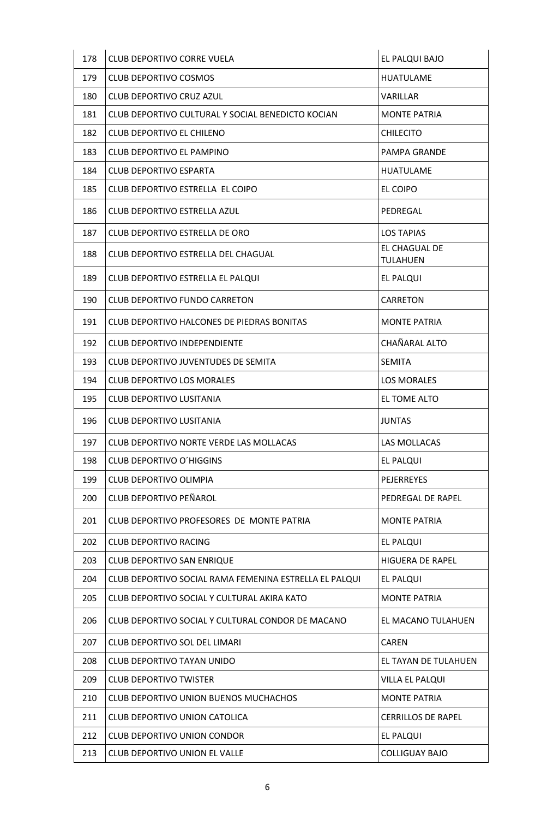| 178 | CLUB DEPORTIVO CORRE VUELA                             | EL PALQUI BAJO                   |
|-----|--------------------------------------------------------|----------------------------------|
| 179 | CLUB DEPORTIVO COSMOS                                  | <b>HUATULAME</b>                 |
| 180 | CLUB DEPORTIVO CRUZ AZUL                               | <b>VARILLAR</b>                  |
| 181 | CLUB DEPORTIVO CULTURAL Y SOCIAL BENEDICTO KOCIAN      | <b>MONTE PATRIA</b>              |
| 182 | CLUB DEPORTIVO EL CHILENO                              | <b>CHILECITO</b>                 |
| 183 | <b>CLUB DEPORTIVO EL PAMPINO</b>                       | PAMPA GRANDE                     |
| 184 | <b>CLUB DEPORTIVO ESPARTA</b>                          | <b>HUATULAME</b>                 |
| 185 | CLUB DEPORTIVO ESTRELLA EL COIPO                       | EL COIPO                         |
| 186 | CLUB DEPORTIVO ESTRELLA AZUL                           | PEDREGAL                         |
| 187 | CLUB DEPORTIVO ESTRELLA DE ORO                         | <b>LOS TAPIAS</b>                |
| 188 | CLUB DEPORTIVO ESTRELLA DEL CHAGUAL                    | EL CHAGUAL DE<br><b>TULAHUEN</b> |
| 189 | CLUB DEPORTIVO ESTRELLA EL PALQUI                      | EL PALQUI                        |
| 190 | CLUB DEPORTIVO FUNDO CARRETON                          | <b>CARRETON</b>                  |
| 191 | CLUB DEPORTIVO HALCONES DE PIEDRAS BONITAS             | <b>MONTE PATRIA</b>              |
| 192 | <b>CLUB DEPORTIVO INDEPENDIENTE</b>                    | CHAÑARAL ALTO                    |
| 193 | CLUB DEPORTIVO JUVENTUDES DE SEMITA                    | <b>SEMITA</b>                    |
| 194 | CLUB DEPORTIVO LOS MORALES                             | <b>LOS MORALES</b>               |
| 195 | <b>CLUB DEPORTIVO LUSITANIA</b>                        | EL TOME ALTO                     |
| 196 | CLUB DEPORTIVO LUSITANIA                               | <b>JUNTAS</b>                    |
| 197 | CLUB DEPORTIVO NORTE VERDE LAS MOLLACAS                | <b>LAS MOLLACAS</b>              |
| 198 | <b>CLUB DEPORTIVO O'HIGGINS</b>                        | <b>EL PALQUI</b>                 |
| 199 | CLUB DEPORTIVO OLIMPIA                                 | <b>PEJERREYES</b>                |
| 200 | <b>CLUB DEPORTIVO PEÑAROL</b>                          | PEDREGAL DE RAPEL                |
| 201 | CLUB DEPORTIVO PROFESORES DE MONTE PATRIA              | <b>MONTE PATRIA</b>              |
| 202 | <b>CLUB DEPORTIVO RACING</b>                           | EL PALQUI                        |
| 203 | CLUB DEPORTIVO SAN ENRIQUE                             | <b>HIGUERA DE RAPEL</b>          |
| 204 | CLUB DEPORTIVO SOCIAL RAMA FEMENINA ESTRELLA EL PALQUI | <b>EL PALQUI</b>                 |
| 205 | CLUB DEPORTIVO SOCIAL Y CULTURAL AKIRA KATO            | <b>MONTE PATRIA</b>              |
| 206 | CLUB DEPORTIVO SOCIAL Y CULTURAL CONDOR DE MACANO      | EL MACANO TULAHUEN               |
| 207 | <b>CLUB DEPORTIVO SOL DEL LIMARI</b>                   | <b>CAREN</b>                     |
| 208 | CLUB DEPORTIVO TAYAN UNIDO                             | EL TAYAN DE TULAHUEN             |
| 209 | <b>CLUB DEPORTIVO TWISTER</b>                          | VILLA EL PALQUI                  |
| 210 | CLUB DEPORTIVO UNION BUENOS MUCHACHOS                  | <b>MONTE PATRIA</b>              |
| 211 | CLUB DEPORTIVO UNION CATOLICA                          | <b>CERRILLOS DE RAPEL</b>        |
| 212 | <b>CLUB DEPORTIVO UNION CONDOR</b>                     | <b>EL PALQUI</b>                 |
| 213 | CLUB DEPORTIVO UNION EL VALLE                          | <b>COLLIGUAY BAJO</b>            |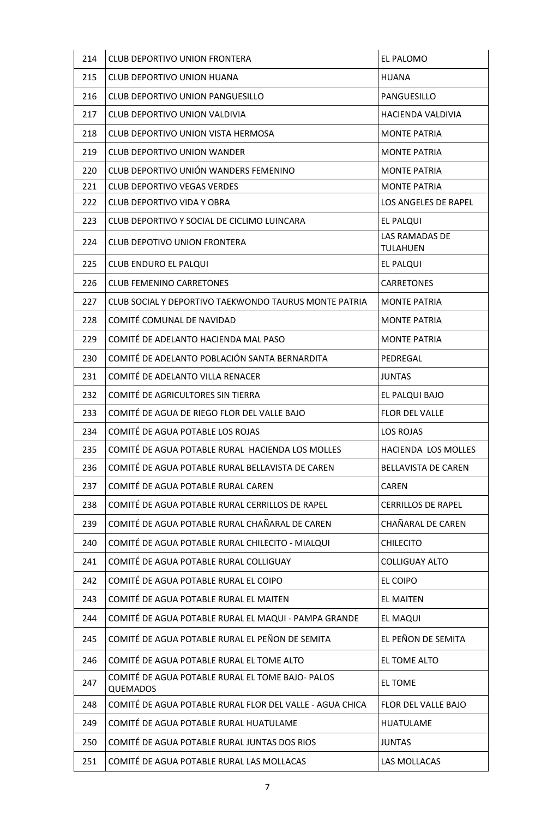| 214 | <b>CLUB DEPORTIVO UNION FRONTERA</b>                                | EL PALOMO                         |
|-----|---------------------------------------------------------------------|-----------------------------------|
| 215 | <b>CLUB DEPORTIVO UNION HUANA</b>                                   | <b>HUANA</b>                      |
| 216 | CLUB DEPORTIVO UNION PANGUESILLO                                    | PANGUESILLO                       |
| 217 | CLUB DEPORTIVO UNION VALDIVIA                                       | HACIENDA VALDIVIA                 |
| 218 | CLUB DEPORTIVO UNION VISTA HERMOSA                                  | <b>MONTE PATRIA</b>               |
| 219 | <b>CLUB DEPORTIVO UNION WANDER</b>                                  | <b>MONTE PATRIA</b>               |
| 220 | CLUB DEPORTIVO UNIÓN WANDERS FEMENINO                               | <b>MONTE PATRIA</b>               |
| 221 | <b>CLUB DEPORTIVO VEGAS VERDES</b>                                  | <b>MONTE PATRIA</b>               |
| 222 | <b>CLUB DEPORTIVO VIDA Y OBRA</b>                                   | LOS ANGELES DE RAPEL              |
| 223 | CLUB DEPORTIVO Y SOCIAL DE CICLIMO LUINCARA                         | EL PALQUI                         |
| 224 | <b>CLUB DEPOTIVO UNION FRONTERA</b>                                 | LAS RAMADAS DE<br><b>TULAHUEN</b> |
| 225 | CLUB ENDURO EL PALQUI                                               | EL PALQUI                         |
| 226 | <b>CLUB FEMENINO CARRETONES</b>                                     | <b>CARRETONES</b>                 |
| 227 | CLUB SOCIAL Y DEPORTIVO TAEKWONDO TAURUS MONTE PATRIA               | <b>MONTE PATRIA</b>               |
| 228 | COMITÉ COMUNAL DE NAVIDAD                                           | <b>MONTE PATRIA</b>               |
| 229 | COMITÉ DE ADELANTO HACIENDA MAL PASO                                | <b>MONTE PATRIA</b>               |
| 230 | COMITÉ DE ADELANTO POBLACIÓN SANTA BERNARDITA                       | PEDREGAL                          |
| 231 | COMITÉ DE ADELANTO VILLA RENACER                                    | <b>JUNTAS</b>                     |
| 232 | COMITÉ DE AGRICULTORES SIN TIERRA                                   | EL PALQUI BAJO                    |
| 233 | COMITÉ DE AGUA DE RIEGO FLOR DEL VALLE BAJO                         | <b>FLOR DEL VALLE</b>             |
| 234 | COMITÉ DE AGUA POTABLE LOS ROJAS                                    | <b>LOS ROJAS</b>                  |
| 235 | COMITÉ DE AGUA POTABLE RURAL HACIENDA LOS MOLLES                    | HACIENDA LOS MOLLES               |
| 236 | COMITÉ DE AGUA POTABLE RURAL BELLAVISTA DE CAREN                    | <b>BELLAVISTA DE CAREN</b>        |
| 237 | COMITÉ DE AGUA POTABLE RURAL CAREN                                  | <b>CAREN</b>                      |
| 238 | COMITÉ DE AGUA POTABLE RURAL CERRILLOS DE RAPEL                     | <b>CERRILLOS DE RAPEL</b>         |
| 239 | COMITÉ DE AGUA POTABLE RURAL CHAÑARAL DE CAREN                      | CHAÑARAL DE CAREN                 |
| 240 | COMITÉ DE AGUA POTABLE RURAL CHILECITO - MIALQUI                    | <b>CHILECITO</b>                  |
| 241 | COMITÉ DE AGUA POTABLE RURAL COLLIGUAY                              | <b>COLLIGUAY ALTO</b>             |
| 242 | COMITÉ DE AGUA POTABLE RURAL EL COIPO                               | <b>EL COIPO</b>                   |
| 243 | COMITÉ DE AGUA POTABLE RURAL EL MAITEN                              | <b>EL MAITEN</b>                  |
| 244 | COMITÉ DE AGUA POTABLE RURAL EL MAQUI - PAMPA GRANDE                | EL MAQUI                          |
| 245 | COMITÉ DE AGUA POTABLE RURAL EL PEÑON DE SEMITA                     | EL PEÑON DE SEMITA                |
| 246 | COMITÉ DE AGUA POTABLE RURAL EL TOME ALTO                           | EL TOME ALTO                      |
| 247 | COMITÉ DE AGUA POTABLE RURAL EL TOME BAJO- PALOS<br><b>QUEMADOS</b> | <b>EL TOME</b>                    |
| 248 | COMITÉ DE AGUA POTABLE RURAL FLOR DEL VALLE - AGUA CHICA            | FLOR DEL VALLE BAJO               |
| 249 | COMITÉ DE AGUA POTABLE RURAL HUATULAME                              | <b>HUATULAME</b>                  |
| 250 | COMITÉ DE AGUA POTABLE RURAL JUNTAS DOS RIOS                        | <b>JUNTAS</b>                     |
| 251 | COMITÉ DE AGUA POTABLE RURAL LAS MOLLACAS                           | LAS MOLLACAS                      |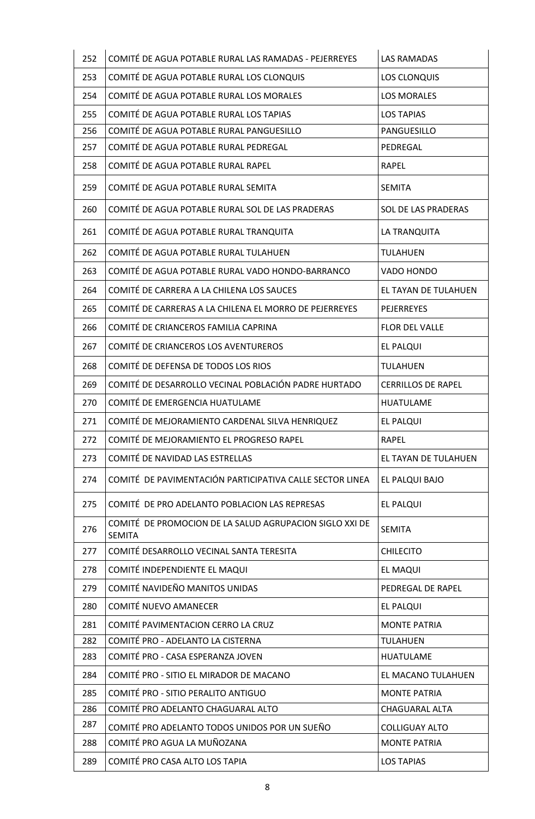| 252 | COMITÉ DE AGUA POTABLE RURAL LAS RAMADAS - PEJERREYES                    | <b>LAS RAMADAS</b>        |
|-----|--------------------------------------------------------------------------|---------------------------|
| 253 | COMITÉ DE AGUA POTABLE RURAL LOS CLONQUIS                                | LOS CLONQUIS              |
| 254 | COMITÉ DE AGUA POTABLE RURAL LOS MORALES                                 | <b>LOS MORALES</b>        |
| 255 | COMITÉ DE AGUA POTABLE RURAL LOS TAPIAS                                  | <b>LOS TAPIAS</b>         |
| 256 | COMITÉ DE AGUA POTABLE RURAL PANGUESILLO                                 | PANGUESILLO               |
| 257 | COMITÉ DE AGUA POTABLE RURAL PEDREGAL                                    | PEDREGAL                  |
| 258 | COMITÉ DE AGUA POTABLE RURAL RAPEL                                       | <b>RAPEL</b>              |
| 259 | COMITÉ DE AGUA POTABLE RURAL SEMITA                                      | <b>SEMITA</b>             |
| 260 | COMITÉ DE AGUA POTABLE RURAL SOL DE LAS PRADERAS                         | SOL DE LAS PRADERAS       |
| 261 | COMITÉ DE AGUA POTABLE RURAL TRANQUITA                                   | LA TRANQUITA              |
| 262 | COMITÉ DE AGUA POTABLE RURAL TULAHUEN                                    | <b>TULAHUEN</b>           |
| 263 | COMITÉ DE AGUA POTABLE RURAL VADO HONDO-BARRANCO                         | VADO HONDO                |
| 264 | COMITÉ DE CARRERA A LA CHILENA LOS SAUCES                                | EL TAYAN DE TULAHUEN      |
| 265 | COMITÉ DE CARRERAS A LA CHILENA EL MORRO DE PEJERREYES                   | <b>PEJERREYES</b>         |
| 266 | COMITÉ DE CRIANCEROS FAMILIA CAPRINA                                     | FLOR DEL VALLE            |
| 267 | COMITÉ DE CRIANCEROS LOS AVENTUREROS                                     | <b>EL PALQUI</b>          |
| 268 | COMITÉ DE DEFENSA DE TODOS LOS RIOS                                      | <b>TULAHUEN</b>           |
| 269 | COMITÉ DE DESARROLLO VECINAL POBLACIÓN PADRE HURTADO                     | <b>CERRILLOS DE RAPEL</b> |
| 270 | COMITÉ DE EMERGENCIA HUATULAME                                           | <b>HUATULAME</b>          |
| 271 | COMITÉ DE MEJORAMIENTO CARDENAL SILVA HENRIQUEZ                          | <b>EL PALQUI</b>          |
| 272 | COMITÉ DE MEJORAMIENTO EL PROGRESO RAPEL                                 | <b>RAPEL</b>              |
| 273 | COMITÉ DE NAVIDAD LAS ESTRELLAS                                          | EL TAYAN DE TULAHUEN      |
| 274 | COMITÉ DE PAVIMENTACIÓN PARTICIPATIVA CALLE SECTOR LINEA                 | EL PALQUI BAJO            |
| 275 | COMITÉ DE PRO ADELANTO POBLACION LAS REPRESAS                            | EL PALQUI                 |
| 276 | COMITÉ DE PROMOCION DE LA SALUD AGRUPACION SIGLO XXI DE<br><b>SEMITA</b> | <b>SEMITA</b>             |
| 277 | COMITÉ DESARROLLO VECINAL SANTA TERESITA                                 | <b>CHILECITO</b>          |
| 278 | COMITÉ INDEPENDIENTE EL MAQUI                                            | <b>EL MAQUI</b>           |
| 279 | COMITÉ NAVIDEÑO MANITOS UNIDAS                                           | PEDREGAL DE RAPEL         |
| 280 | COMITÉ NUEVO AMANECER                                                    | EL PALQUI                 |
| 281 | COMITÉ PAVIMENTACION CERRO LA CRUZ                                       | <b>MONTE PATRIA</b>       |
| 282 | COMITÉ PRO - ADELANTO LA CISTERNA                                        | <b>TULAHUEN</b>           |
| 283 | COMITÉ PRO - CASA ESPERANZA JOVEN                                        | <b>HUATULAME</b>          |
| 284 | COMITÉ PRO - SITIO EL MIRADOR DE MACANO                                  | EL MACANO TULAHUEN        |
| 285 | COMITÉ PRO - SITIO PERALITO ANTIGUO                                      | <b>MONTE PATRIA</b>       |
| 286 | COMITÉ PRO ADELANTO CHAGUARAL ALTO                                       | <b>CHAGUARAL ALTA</b>     |
| 287 | COMITÉ PRO ADELANTO TODOS UNIDOS POR UN SUEÑO                            | <b>COLLIGUAY ALTO</b>     |
| 288 | COMITÉ PRO AGUA LA MUÑOZANA                                              | <b>MONTE PATRIA</b>       |
| 289 | COMITÉ PRO CASA ALTO LOS TAPIA                                           | <b>LOS TAPIAS</b>         |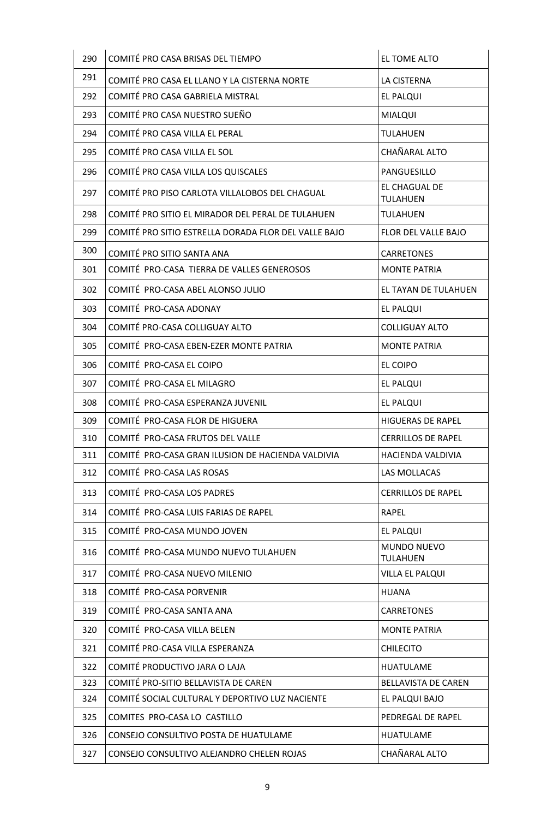| 290 | COMITÉ PRO CASA BRISAS DEL TIEMPO                    | EL TOME ALTO                     |
|-----|------------------------------------------------------|----------------------------------|
| 291 | COMITÉ PRO CASA EL LLANO Y LA CISTERNA NORTE         | LA CISTERNA                      |
| 292 | COMITÉ PRO CASA GABRIELA MISTRAL                     | EL PALQUI                        |
| 293 | COMITÉ PRO CASA NUESTRO SUEÑO                        | <b>MIALQUI</b>                   |
| 294 | COMITÉ PRO CASA VILLA EL PERAL                       | <b>TULAHUEN</b>                  |
| 295 | COMITÉ PRO CASA VILLA EL SOL                         | CHAÑARAL ALTO                    |
| 296 | COMITÉ PRO CASA VILLA LOS QUISCALES                  | PANGUESILLO                      |
| 297 | COMITÉ PRO PISO CARLOTA VILLALOBOS DEL CHAGUAL       | EL CHAGUAL DE<br><b>TULAHUEN</b> |
| 298 | COMITÉ PRO SITIO EL MIRADOR DEL PERAL DE TULAHUEN    | <b>TULAHUEN</b>                  |
| 299 | COMITÉ PRO SITIO ESTRELLA DORADA FLOR DEL VALLE BAJO | FLOR DEL VALLE BAJO              |
| 300 | COMITÉ PRO SITIO SANTA ANA                           | <b>CARRETONES</b>                |
| 301 | COMITÉ PRO-CASA TIERRA DE VALLES GENEROSOS           | <b>MONTE PATRIA</b>              |
| 302 | COMITÉ PRO-CASA ABEL ALONSO JULIO                    | EL TAYAN DE TULAHUEN             |
| 303 | COMITÉ PRO-CASA ADONAY                               | EL PALQUI                        |
| 304 | COMITÉ PRO-CASA COLLIGUAY ALTO                       | <b>COLLIGUAY ALTO</b>            |
| 305 | COMITÉ PRO-CASA EBEN-EZER MONTE PATRIA               | <b>MONTE PATRIA</b>              |
| 306 | COMITÉ PRO-CASA EL COIPO                             | EL COIPO                         |
| 307 | COMITÉ PRO-CASA EL MILAGRO                           | EL PALQUI                        |
| 308 | COMITÉ PRO-CASA ESPERANZA JUVENIL                    | EL PALQUI                        |
| 309 | COMITÉ PRO-CASA FLOR DE HIGUERA                      | <b>HIGUERAS DE RAPEL</b>         |
| 310 | COMITÉ PRO-CASA FRUTOS DEL VALLE                     | <b>CERRILLOS DE RAPEL</b>        |
| 311 | COMITÉ PRO-CASA GRAN ILUSION DE HACIENDA VALDIVIA    | HACIENDA VALDIVIA                |
| 312 | COMITÉ PRO-CASA LAS ROSAS                            | LAS MOLLACAS                     |
| 313 | COMITÉ PRO-CASA LOS PADRES                           | <b>CERRILLOS DE RAPEL</b>        |
| 314 | COMITÉ PRO-CASA LUIS FARIAS DE RAPEL                 | <b>RAPEL</b>                     |
| 315 | COMITÉ PRO-CASA MUNDO JOVEN                          | <b>EL PALQUI</b>                 |
| 316 | COMITÉ PRO-CASA MUNDO NUEVO TULAHUEN                 | MUNDO NUEVO<br><b>TULAHUEN</b>   |
| 317 | COMITÉ PRO-CASA NUEVO MILENIO                        | VILLA EL PALQUI                  |
| 318 | COMITÉ PRO-CASA PORVENIR                             | <b>HUANA</b>                     |
| 319 | COMITÉ PRO-CASA SANTA ANA                            | <b>CARRETONES</b>                |
| 320 | COMITÉ PRO-CASA VILLA BELEN                          | <b>MONTE PATRIA</b>              |
| 321 | COMITÉ PRO-CASA VILLA ESPERANZA                      | <b>CHILECITO</b>                 |
| 322 | COMITÉ PRODUCTIVO JARA O LAJA                        | <b>HUATULAME</b>                 |
| 323 | COMITÉ PRO-SITIO BELLAVISTA DE CAREN                 | <b>BELLAVISTA DE CAREN</b>       |
| 324 | COMITÉ SOCIAL CULTURAL Y DEPORTIVO LUZ NACIENTE      | EL PALQUI BAJO                   |
| 325 | COMITES PRO-CASA LO CASTILLO                         | PEDREGAL DE RAPEL                |
| 326 | CONSEJO CONSULTIVO POSTA DE HUATULAME                | <b>HUATULAME</b>                 |
| 327 | CONSEJO CONSULTIVO ALEJANDRO CHELEN ROJAS            | CHAÑARAL ALTO                    |